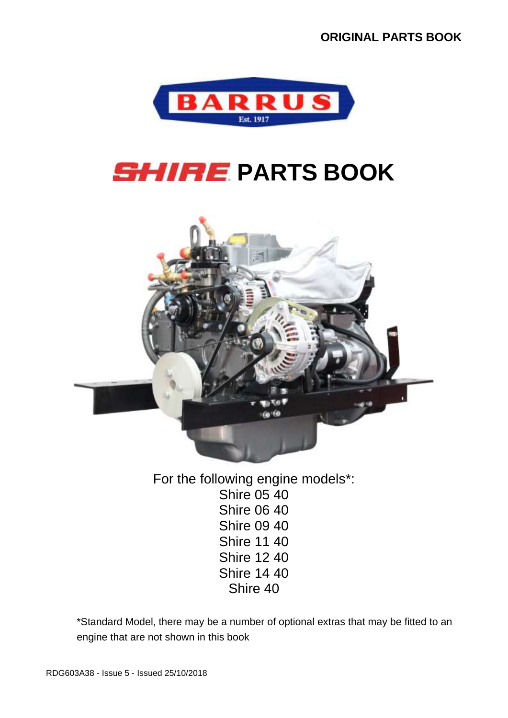

# **SHIRE PARTS BOOK**



For the following engine models\*: Shire 05 40 Shire 06 40 Shire 09 40 Shire 11 40 Shire 12 40 Shire 14 40 Shire 40

\*Standard Model, there may be a number of optional extras that may be fitted to an engine that are not shown in this book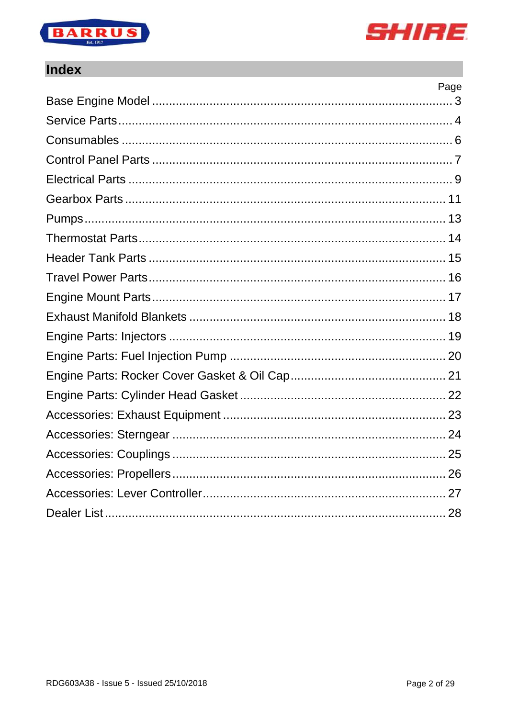



#### **Index**

| Page |
|------|
|      |
|      |
|      |
|      |
|      |
|      |
|      |
|      |
|      |
|      |
|      |
|      |
|      |
|      |
|      |
|      |
|      |
|      |
|      |
|      |
|      |
|      |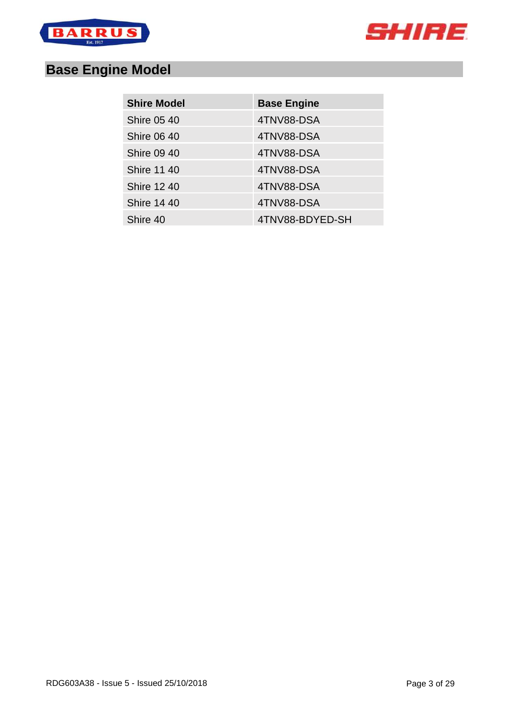



# <span id="page-2-0"></span>**Base Engine Model**

| <b>Shire Model</b> | <b>Base Engine</b> |
|--------------------|--------------------|
| <b>Shire 05 40</b> | 4TNV88-DSA         |
| <b>Shire 06 40</b> | 4TNV88-DSA         |
| <b>Shire 09 40</b> | 4TNV88-DSA         |
| <b>Shire 11 40</b> | 4TNV88-DSA         |
| <b>Shire 12 40</b> | 4TNV88-DSA         |
| <b>Shire 14 40</b> | 4TNV88-DSA         |
| Shire 40           | 4TNV88-BDYED-SH    |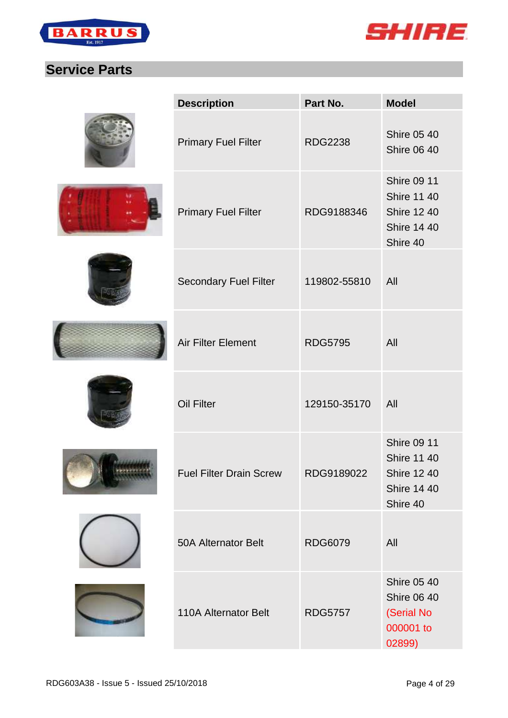



#### <span id="page-3-0"></span>**Service Parts**

|               | <b>Description</b>             | Part No.       | <b>Model</b>                                                                                     |
|---------------|--------------------------------|----------------|--------------------------------------------------------------------------------------------------|
|               | <b>Primary Fuel Filter</b>     | <b>RDG2238</b> | <b>Shire 05 40</b><br><b>Shire 06 40</b>                                                         |
|               | <b>Primary Fuel Filter</b>     | RDG9188346     | <b>Shire 09 11</b><br><b>Shire 11 40</b><br><b>Shire 12 40</b><br><b>Shire 14 40</b><br>Shire 40 |
|               | <b>Secondary Fuel Filter</b>   | 119802-55810   | All                                                                                              |
|               | <b>Air Filter Element</b>      | <b>RDG5795</b> | All                                                                                              |
|               | <b>Oil Filter</b>              | 129150-35170   | All                                                                                              |
| <b>LEGACE</b> | <b>Fuel Filter Drain Screw</b> | RDG9189022     | <b>Shire 09 11</b><br><b>Shire 11 40</b><br><b>Shire 12 40</b><br><b>Shire 14 40</b><br>Shire 40 |
|               | <b>50A Alternator Belt</b>     | <b>RDG6079</b> | All                                                                                              |
|               | <b>110A Alternator Belt</b>    | <b>RDG5757</b> | <b>Shire 05 40</b><br><b>Shire 06 40</b><br>(Serial No<br>000001 to<br>02899)                    |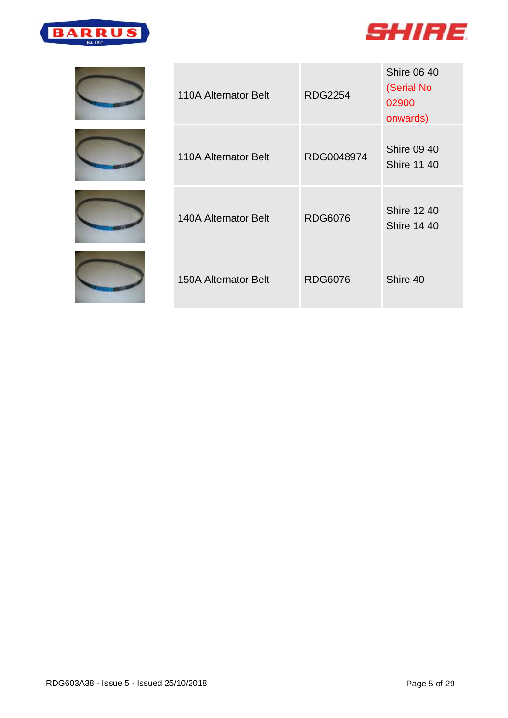











| 110A Alternator Belt | <b>RDG2254</b> | <b>Shire 06 40</b><br>(Serial No<br>02900<br>onwards) |
|----------------------|----------------|-------------------------------------------------------|
| 110A Alternator Belt | RDG0048974     | <b>Shire 09 40</b><br><b>Shire 11 40</b>              |
| 140A Alternator Belt | <b>RDG6076</b> | <b>Shire 12 40</b><br><b>Shire 14 40</b>              |
| 150A Alternator Belt | RDG6076        | Shire 40                                              |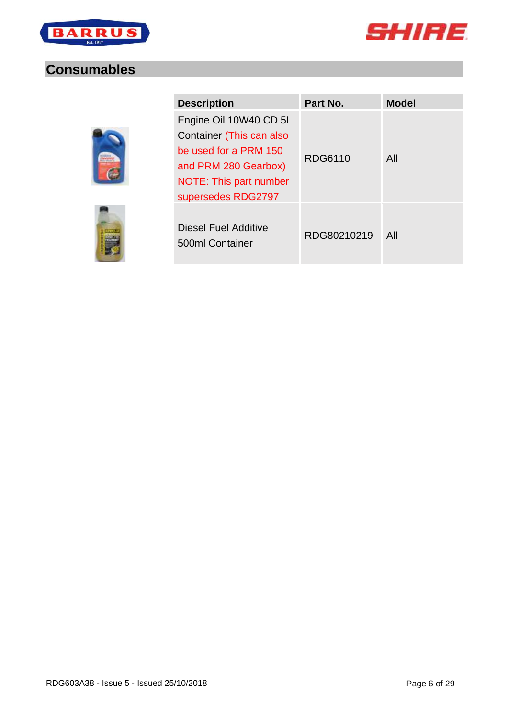



#### <span id="page-5-0"></span>**Consumables**



| <b>Description</b>                                                                                                                                  | Part No.    | <b>Model</b> |
|-----------------------------------------------------------------------------------------------------------------------------------------------------|-------------|--------------|
| Engine Oil 10W40 CD 5L<br>Container (This can also<br>be used for a PRM 150<br>and PRM 280 Gearbox)<br>NOTE: This part number<br>supersedes RDG2797 | RDG6110     | All          |
| Diesel Fuel Additive<br>500ml Container                                                                                                             | RDG80210219 | All          |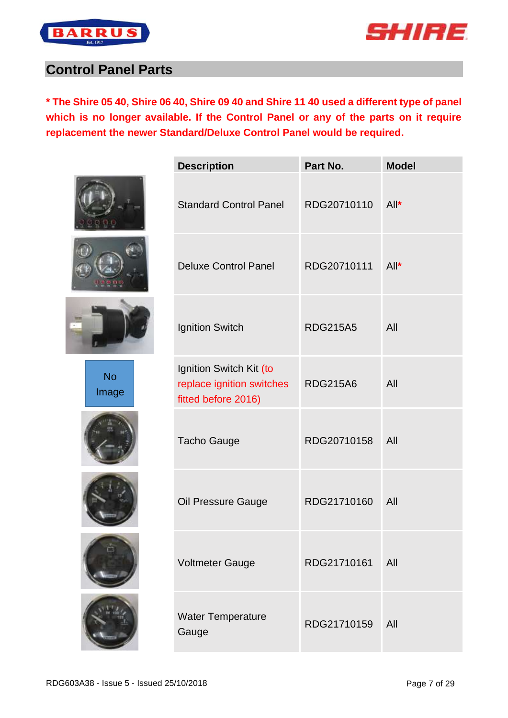



#### <span id="page-6-0"></span>**Control Panel Parts**

**\* The Shire 05 40, Shire 06 40, Shire 09 40 and Shire 11 40 used a different type of panel which is no longer available. If the Control Panel or any of the parts on it require replacement the newer Standard/Deluxe Control Panel would be required.**





No Image









| <b>Description</b>                                                          | Part No.        | <b>Model</b> |
|-----------------------------------------------------------------------------|-----------------|--------------|
| <b>Standard Control Panel</b>                                               | RDG20710110     | $All^*$      |
| <b>Deluxe Control Panel</b>                                                 | RDG20710111     | $All^*$      |
| <b>Ignition Switch</b>                                                      | <b>RDG215A5</b> | All          |
| Ignition Switch Kit (to<br>replace ignition switches<br>fitted before 2016) | <b>RDG215A6</b> | All          |
| Tacho Gauge                                                                 | RDG20710158     | All          |
| Oil Pressure Gauge                                                          | RDG21710160     | All          |
| <b>Voltmeter Gauge</b>                                                      | RDG21710161     | All          |
| <b>Water Temperature</b><br>Gauge                                           | RDG21710159     | All          |
|                                                                             |                 |              |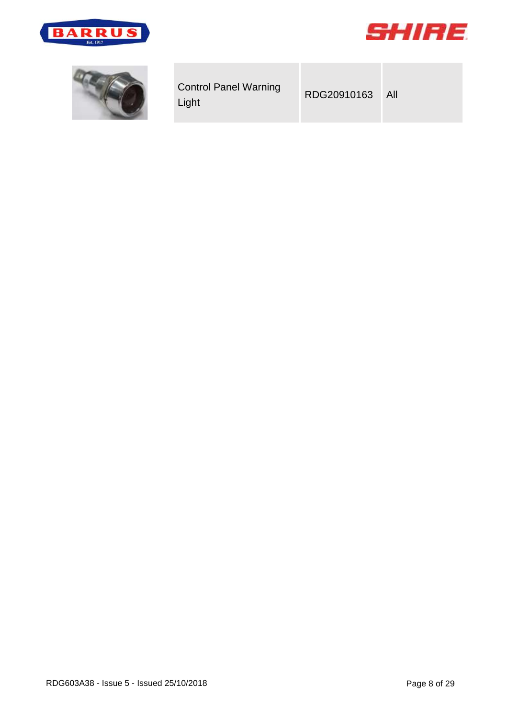



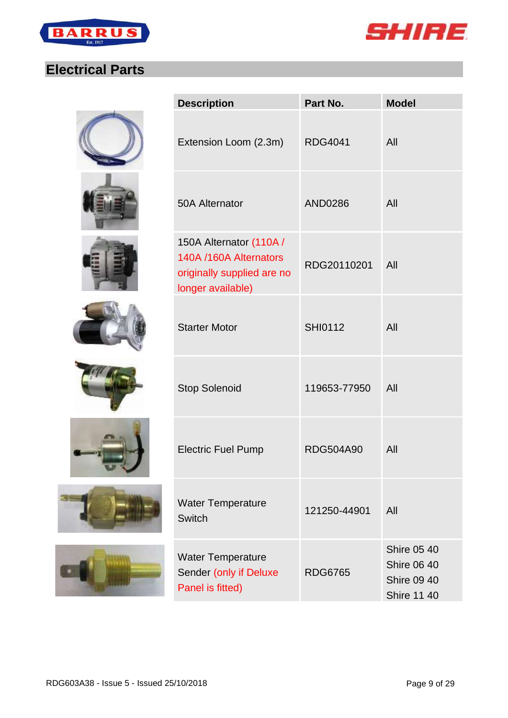



# <span id="page-8-0"></span>**Electrical Parts**

















| <b>Description</b>                                                                                   | Part No.         | <b>Model</b>                                                                         |
|------------------------------------------------------------------------------------------------------|------------------|--------------------------------------------------------------------------------------|
| Extension Loom (2.3m)                                                                                | <b>RDG4041</b>   | All                                                                                  |
| <b>50A Alternator</b>                                                                                | <b>AND0286</b>   | All                                                                                  |
| 150A Alternator (110A /<br>140A /160A Alternators<br>originally supplied are no<br>longer available) | RDG20110201      | All                                                                                  |
| <b>Starter Motor</b>                                                                                 | <b>SHI0112</b>   | All                                                                                  |
| <b>Stop Solenoid</b>                                                                                 | 119653-77950     | All                                                                                  |
| <b>Electric Fuel Pump</b>                                                                            | <b>RDG504A90</b> | All                                                                                  |
| <b>Water Temperature</b><br><b>Switch</b>                                                            | 121250-44901     | All                                                                                  |
| <b>Water Temperature</b><br>Sender (only if Deluxe<br>Panel is fitted)                               | <b>RDG6765</b>   | <b>Shire 05 40</b><br><b>Shire 06 40</b><br><b>Shire 09 40</b><br><b>Shire 11 40</b> |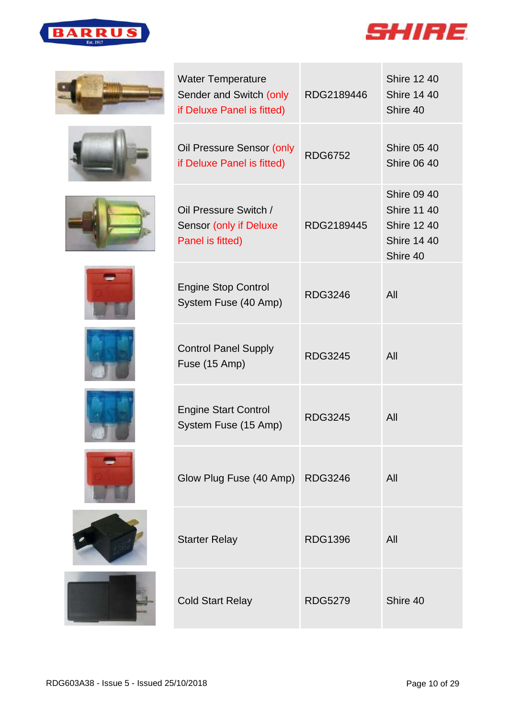





















| <b>Water Temperature</b><br>Sender and Switch (only<br>if Deluxe Panel is fitted) | RDG2189446     | <b>Shire 12 40</b><br><b>Shire 14 40</b><br>Shire 40                                             |
|-----------------------------------------------------------------------------------|----------------|--------------------------------------------------------------------------------------------------|
| Oil Pressure Sensor (only<br>if Deluxe Panel is fitted)                           | <b>RDG6752</b> | <b>Shire 05 40</b><br><b>Shire 06 40</b>                                                         |
| Oil Pressure Switch /<br>Sensor (only if Deluxe<br>Panel is fitted)               | RDG2189445     | <b>Shire 09 40</b><br><b>Shire 11 40</b><br><b>Shire 12 40</b><br><b>Shire 14 40</b><br>Shire 40 |
| <b>Engine Stop Control</b><br>System Fuse (40 Amp)                                | <b>RDG3246</b> | All                                                                                              |
| <b>Control Panel Supply</b><br>Fuse (15 Amp)                                      | <b>RDG3245</b> | All                                                                                              |
| <b>Engine Start Control</b><br>System Fuse (15 Amp)                               | <b>RDG3245</b> | All                                                                                              |
| Glow Plug Fuse (40 Amp) RDG3246                                                   |                | All                                                                                              |
| <b>Starter Relay</b>                                                              | <b>RDG1396</b> | All                                                                                              |
| <b>Cold Start Relay</b>                                                           | <b>RDG5279</b> | Shire 40                                                                                         |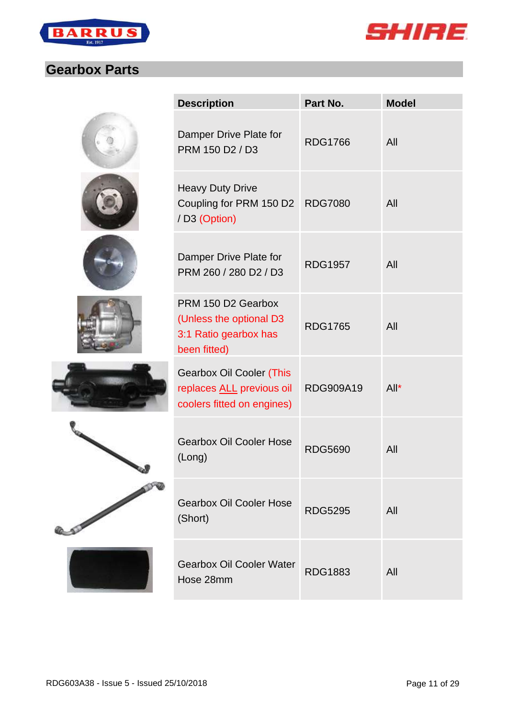



#### <span id="page-10-0"></span>**Gearbox Parts**

|                | <b>Description</b>                                                                         | Part No.         | <b>Model</b> |
|----------------|--------------------------------------------------------------------------------------------|------------------|--------------|
|                | Damper Drive Plate for<br>PRM 150 D2 / D3                                                  | <b>RDG1766</b>   | All          |
|                | <b>Heavy Duty Drive</b><br>Coupling for PRM 150 D2<br>/ D3 (Option)                        | <b>RDG7080</b>   | All          |
|                | Damper Drive Plate for<br>PRM 260 / 280 D2 / D3                                            | <b>RDG1957</b>   | All          |
|                | PRM 150 D2 Gearbox<br>(Unless the optional D3<br>3:1 Ratio gearbox has<br>been fitted)     | <b>RDG1765</b>   | All          |
|                | <b>Gearbox Oil Cooler (This</b><br>replaces ALL previous oil<br>coolers fitted on engines) | <b>RDG909A19</b> | $All^*$      |
|                | <b>Gearbox Oil Cooler Hose</b><br>(Long)                                                   | <b>RDG5690</b>   | All          |
| <b>C.START</b> | <b>Gearbox Oil Cooler Hose</b><br>(Short)                                                  | <b>RDG5295</b>   | All          |
|                | <b>Gearbox Oil Cooler Water</b><br>Hose 28mm                                               | <b>RDG1883</b>   | All          |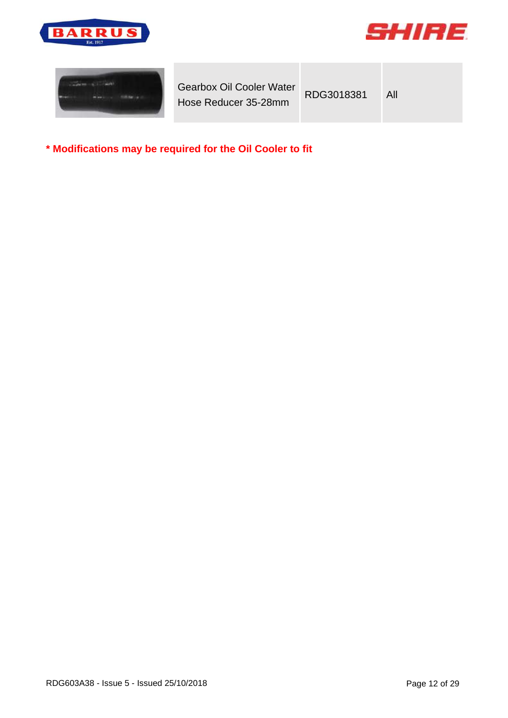





| <b>Gearbox Oil Cooler Water</b><br>Hose Reducer 35-28mm | RDG3018381 | All |
|---------------------------------------------------------|------------|-----|
|---------------------------------------------------------|------------|-----|

**\* Modifications may be required for the Oil Cooler to fit**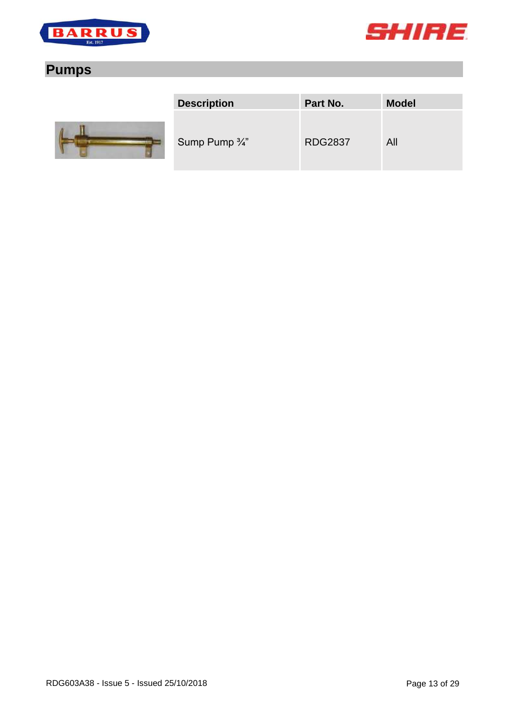



# <span id="page-12-0"></span>**Pumps**



| <b>Description</b>        | Part No.       | <b>Model</b> |
|---------------------------|----------------|--------------|
| Sump Pump $\frac{3}{4}$ " | <b>RDG2837</b> | All          |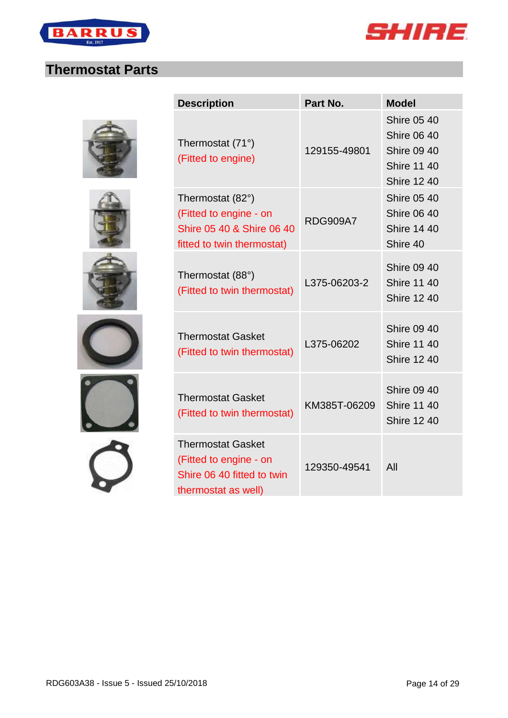



#### <span id="page-13-0"></span>**Thermostat Parts**











| <b>Description</b>                                                                                      | Part No.        | <b>Model</b>                                                                                               |
|---------------------------------------------------------------------------------------------------------|-----------------|------------------------------------------------------------------------------------------------------------|
| Thermostat (71°)<br>(Fitted to engine)                                                                  | 129155-49801    | <b>Shire 05 40</b><br><b>Shire 06 40</b><br><b>Shire 09 40</b><br><b>Shire 11 40</b><br><b>Shire 12 40</b> |
| Thermostat (82°)<br>(Fitted to engine - on<br>Shire 05 40 & Shire 06 40<br>fitted to twin thermostat)   | <b>RDG909A7</b> | <b>Shire 05 40</b><br><b>Shire 06 40</b><br><b>Shire 14 40</b><br>Shire 40                                 |
| Thermostat (88°)<br>(Fitted to twin thermostat)                                                         | L375-06203-2    | <b>Shire 09 40</b><br><b>Shire 11 40</b><br><b>Shire 12 40</b>                                             |
| <b>Thermostat Gasket</b><br>(Fitted to twin thermostat)                                                 | L375-06202      | <b>Shire 09 40</b><br><b>Shire 11 40</b><br><b>Shire 12 40</b>                                             |
| <b>Thermostat Gasket</b><br>(Fitted to twin thermostat)                                                 | KM385T-06209    | <b>Shire 09 40</b><br><b>Shire 11 40</b><br><b>Shire 12 40</b>                                             |
| <b>Thermostat Gasket</b><br>(Fitted to engine - on<br>Shire 06 40 fitted to twin<br>thermostat as well) | 129350-49541    | All                                                                                                        |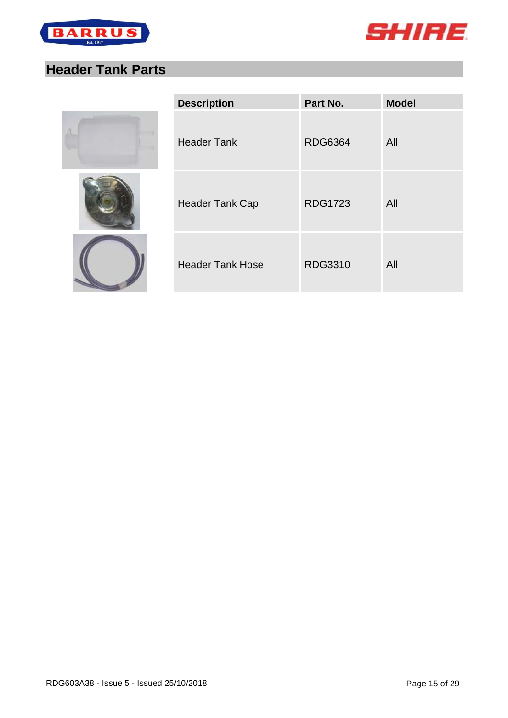



# <span id="page-14-0"></span>**Header Tank Parts**







| <b>Description</b>      | Part No.       | <b>Model</b> |
|-------------------------|----------------|--------------|
| <b>Header Tank</b>      | <b>RDG6364</b> | All          |
| <b>Header Tank Cap</b>  | <b>RDG1723</b> | All          |
| <b>Header Tank Hose</b> | <b>RDG3310</b> | All          |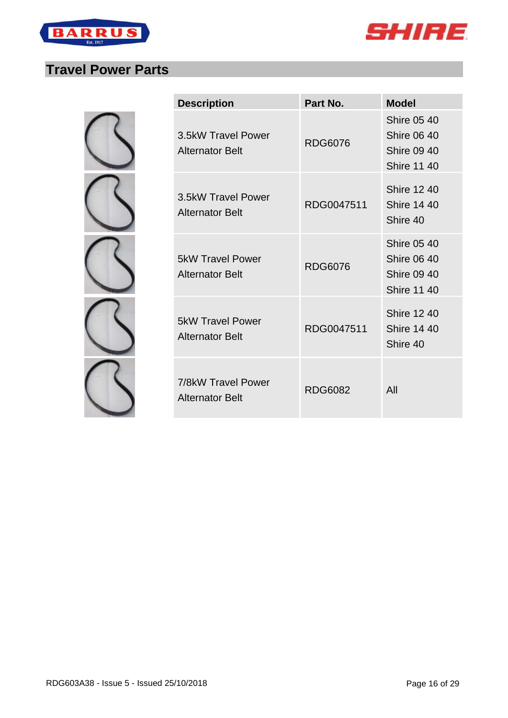

 $\sim$ 



#### <span id="page-15-0"></span>**Travel Power Parts**

| <b>Description</b>                                | Part No.       | <b>Model</b>                                                                         |
|---------------------------------------------------|----------------|--------------------------------------------------------------------------------------|
| 3.5kW Travel Power<br><b>Alternator Belt</b>      | <b>RDG6076</b> | <b>Shire 05 40</b><br><b>Shire 06 40</b><br><b>Shire 09 40</b><br><b>Shire 11 40</b> |
| 3.5kW Travel Power<br><b>Alternator Belt</b>      | RDG0047511     | <b>Shire 12 40</b><br><b>Shire 14 40</b><br>Shire 40                                 |
| <b>5kW Travel Power</b><br><b>Alternator Belt</b> | <b>RDG6076</b> | <b>Shire 05 40</b><br><b>Shire 06 40</b><br><b>Shire 09 40</b><br><b>Shire 11 40</b> |
| <b>5kW Travel Power</b><br>Alternator Belt        | RDG0047511     | <b>Shire 12 40</b><br><b>Shire 14 40</b><br>Shire 40                                 |
| 7/8kW Travel Power<br><b>Alternator Belt</b>      | <b>RDG6082</b> | All                                                                                  |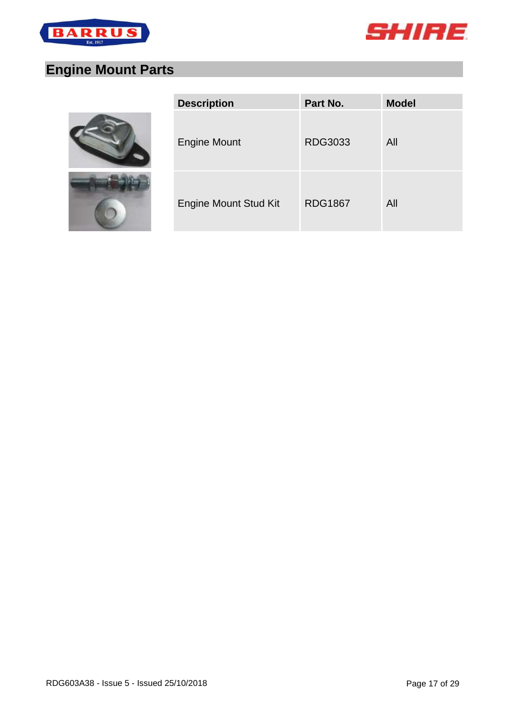



# <span id="page-16-0"></span>**Engine Mount Parts**





| <b>Description</b>           | Part No.       | <b>Model</b> |
|------------------------------|----------------|--------------|
| <b>Engine Mount</b>          | <b>RDG3033</b> | All          |
| <b>Engine Mount Stud Kit</b> | <b>RDG1867</b> | All          |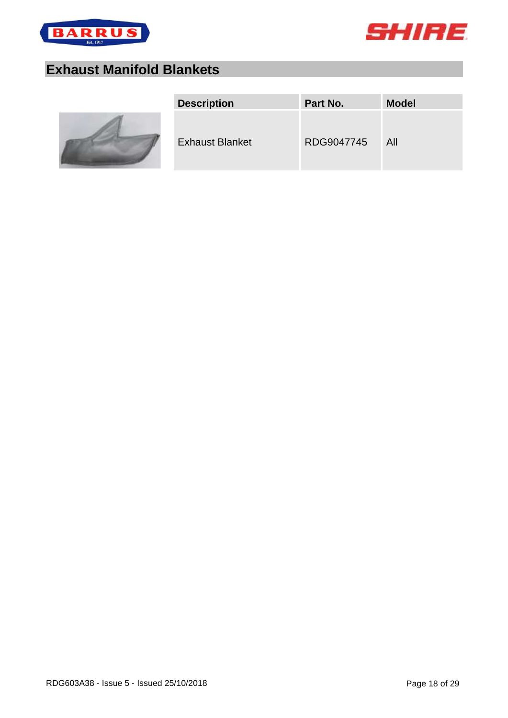



# <span id="page-17-0"></span>**Exhaust Manifold Blankets**



| <b>Description</b>     | Part No.   | <b>Model</b> |
|------------------------|------------|--------------|
| <b>Exhaust Blanket</b> | RDG9047745 | All          |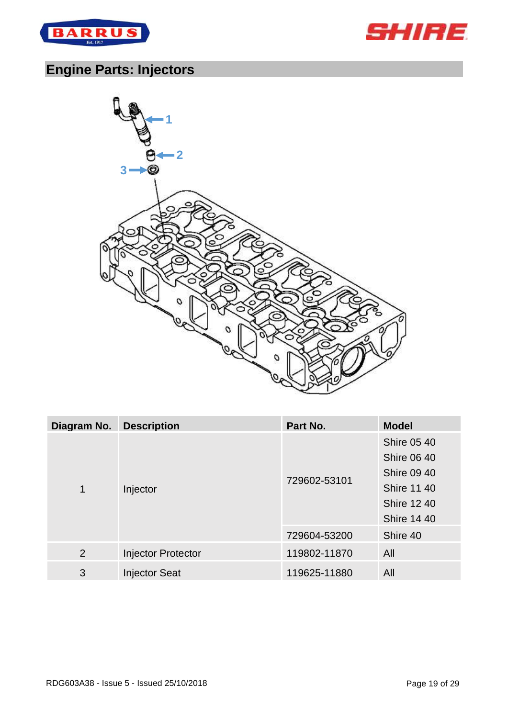



# <span id="page-18-0"></span>**Engine Parts: Injectors**



| Diagram No. | <b>Description</b>        | Part No.     | <b>Model</b>                                                                                                                     |
|-------------|---------------------------|--------------|----------------------------------------------------------------------------------------------------------------------------------|
| 1           | Injector                  | 729602-53101 | <b>Shire 05 40</b><br><b>Shire 06 40</b><br><b>Shire 09 40</b><br><b>Shire 11 40</b><br><b>Shire 12 40</b><br><b>Shire 14 40</b> |
|             |                           | 729604-53200 | Shire 40                                                                                                                         |
| 2           | <b>Injector Protector</b> | 119802-11870 | All                                                                                                                              |
| 3           | <b>Injector Seat</b>      | 119625-11880 | All                                                                                                                              |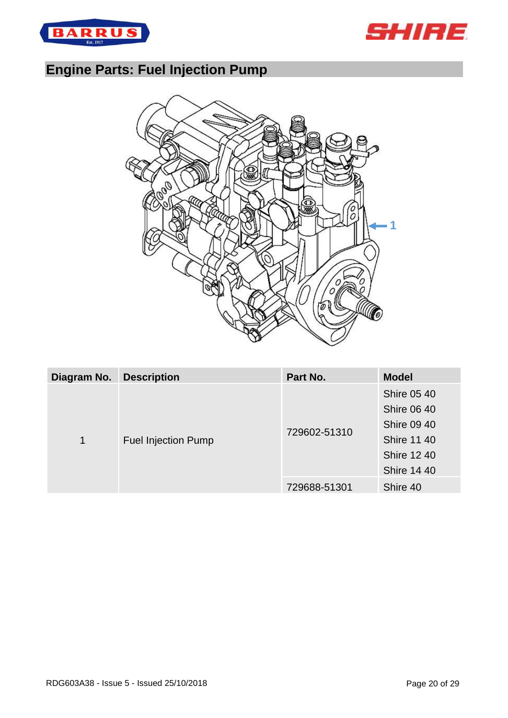



# <span id="page-19-0"></span>**Engine Parts: Fuel Injection Pump**



| <b>Shire 05 40</b><br><b>Shire 06 40</b> | <b>Description</b><br>Diagram No. |              | Part No. | <b>Model</b> |
|------------------------------------------|-----------------------------------|--------------|----------|--------------|
|                                          |                                   |              |          |              |
|                                          | 1<br><b>Fuel Injection Pump</b>   |              |          |              |
| <b>Shire 09 40</b>                       |                                   | 729602-51310 |          |              |
| <b>Shire 11 40</b>                       |                                   |              |          |              |
| <b>Shire 12 40</b>                       |                                   |              |          |              |
| <b>Shire 14 40</b>                       |                                   |              |          |              |
| Shire 40<br>729688-51301                 |                                   |              |          |              |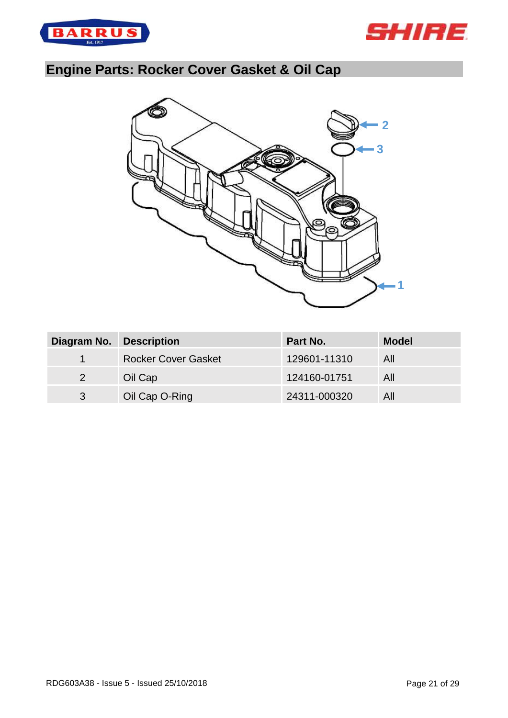



# <span id="page-20-0"></span>**Engine Parts: Rocker Cover Gasket & Oil Cap**



| Diagram No.          | <b>Description</b>         | Part No.     | <b>Model</b> |
|----------------------|----------------------------|--------------|--------------|
| $\blacktriangleleft$ | <b>Rocker Cover Gasket</b> | 129601-11310 | All          |
| 2                    | Oil Cap                    | 124160-01751 | All          |
| 3                    | Oil Cap O-Ring             | 24311-000320 | All          |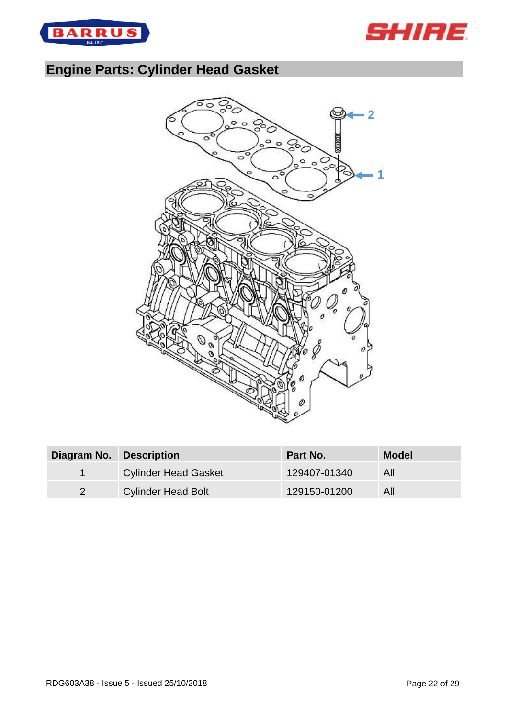



# <span id="page-21-0"></span>**Engine Parts: Cylinder Head Gasket**



| Diagram No. Description |                             | <b>Part No.</b> | <b>Model</b> |
|-------------------------|-----------------------------|-----------------|--------------|
|                         | <b>Cylinder Head Gasket</b> | 129407-01340    | All          |
|                         | <b>Cylinder Head Bolt</b>   | 129150-01200    | All          |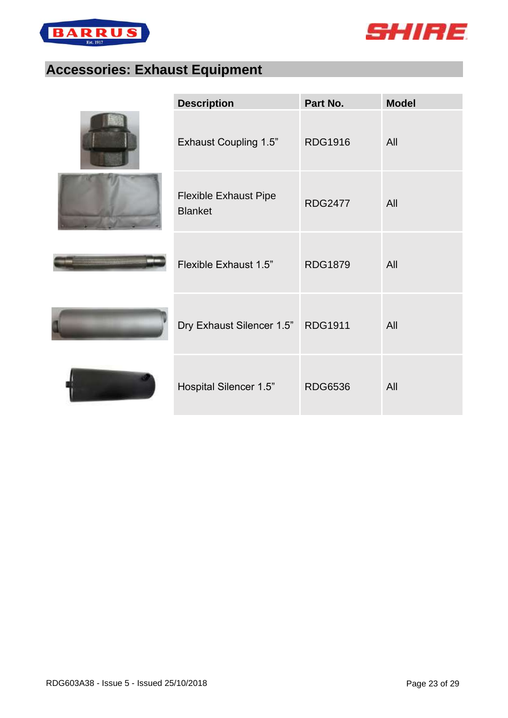



# <span id="page-22-0"></span>**Accessories: Exhaust Equipment**

| <b>Description</b>                             | Part No.       | <b>Model</b> |
|------------------------------------------------|----------------|--------------|
| <b>Exhaust Coupling 1.5"</b>                   | <b>RDG1916</b> | All          |
| <b>Flexible Exhaust Pipe</b><br><b>Blanket</b> | <b>RDG2477</b> | All          |
| Flexible Exhaust 1.5"                          | <b>RDG1879</b> | All          |
| Dry Exhaust Silencer 1.5" RDG1911              |                | All          |
| Hospital Silencer 1.5"                         | <b>RDG6536</b> | All          |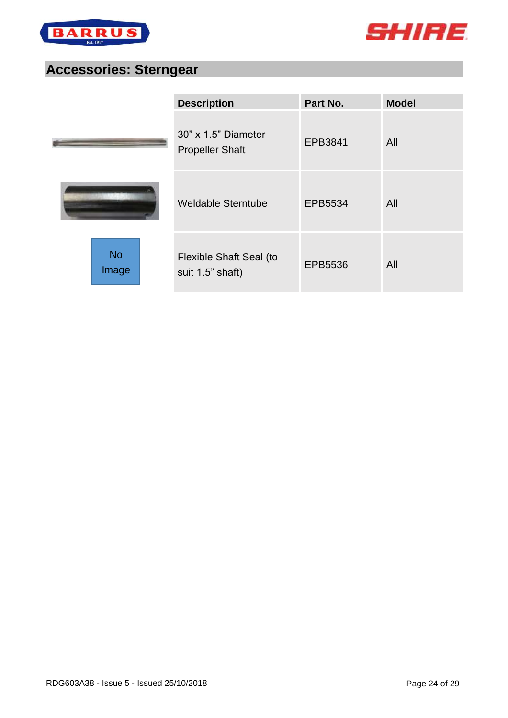



#### <span id="page-23-0"></span>**Accessories: Sterngear**

|                    | <b>Description</b>                            | Part No. | <b>Model</b> |
|--------------------|-----------------------------------------------|----------|--------------|
|                    | 30" x 1.5" Diameter<br><b>Propeller Shaft</b> | EPB3841  | All          |
|                    | <b>Weldable Sterntube</b>                     | EPB5534  | All          |
| <b>No</b><br>Image | Flexible Shaft Seal (to<br>suit 1.5" shaft)   | EPB5536  | All          |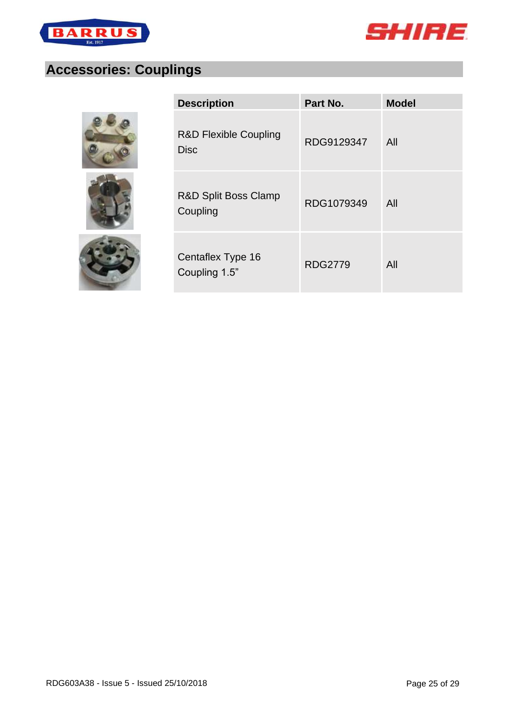



# <span id="page-24-0"></span>**Accessories: Couplings**







| <b>Description</b>                              | Part No.       | <b>Model</b> |
|-------------------------------------------------|----------------|--------------|
| <b>R&amp;D Flexible Coupling</b><br><b>Disc</b> | RDG9129347     | All          |
| R&D Split Boss Clamp<br>Coupling                | RDG1079349     | All          |
| Centaflex Type 16<br>Coupling 1.5"              | <b>RDG2779</b> | All          |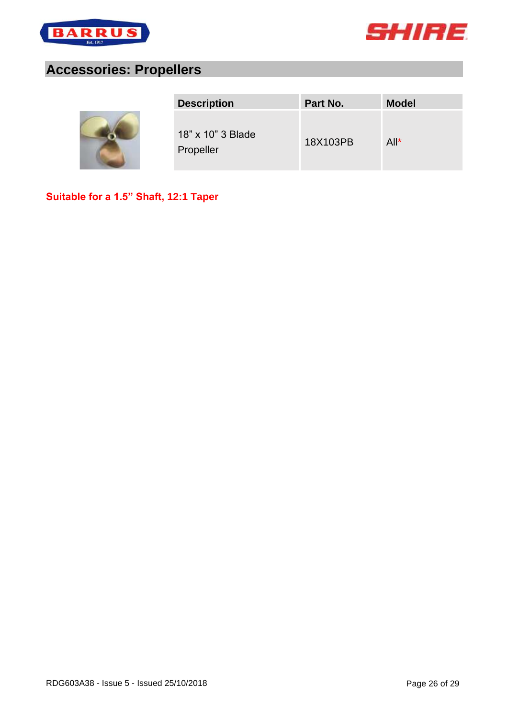



#### <span id="page-25-0"></span>**Accessories: Propellers**



| <b>Description</b>             | Part No. | <b>Model</b> |
|--------------------------------|----------|--------------|
| 18" x 10" 3 Blade<br>Propeller | 18X103PB | $All^*$      |

**Suitable for a 1.5" Shaft, 12:1 Taper**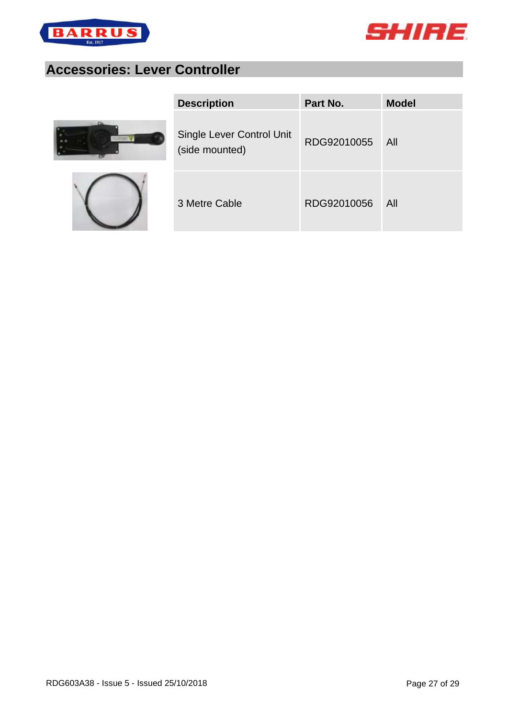



# <span id="page-26-0"></span>**Accessories: Lever Controller**





| <b>Description</b>                          | Part No.    | <b>Model</b> |
|---------------------------------------------|-------------|--------------|
| Single Lever Control Unit<br>(side mounted) | RDG92010055 | - All        |
| 3 Metre Cable                               | RDG92010056 | All          |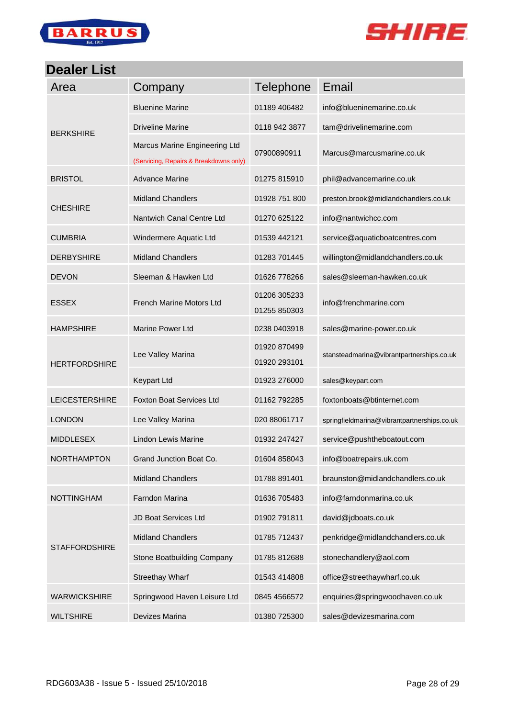



#### <span id="page-27-0"></span>**Dealer List**

| Area                  | Company                                                                 | <b>Telephone</b>             | Email                                       |
|-----------------------|-------------------------------------------------------------------------|------------------------------|---------------------------------------------|
|                       | <b>Bluenine Marine</b>                                                  | 01189 406482                 | info@blueninemarine.co.uk                   |
| <b>BERKSHIRE</b>      | <b>Driveline Marine</b>                                                 | 0118 942 3877                | tam@drivelinemarine.com                     |
|                       | Marcus Marine Engineering Ltd<br>(Servicing, Repairs & Breakdowns only) | 07900890911                  | Marcus@marcusmarine.co.uk                   |
| <b>BRISTOL</b>        | <b>Advance Marine</b>                                                   | 01275 815910                 | phil@advancemarine.co.uk                    |
|                       | <b>Midland Chandlers</b>                                                | 01928 751 800                | preston.brook@midlandchandlers.co.uk        |
| <b>CHESHIRE</b>       | Nantwich Canal Centre Ltd                                               | 01270 625122                 | info@nantwichcc.com                         |
| <b>CUMBRIA</b>        | Windermere Aquatic Ltd                                                  | 01539 442121                 | service@aquaticboatcentres.com              |
| <b>DERBYSHIRE</b>     | <b>Midland Chandlers</b>                                                | 01283 701445                 | willington@midlandchandlers.co.uk           |
| <b>DEVON</b>          | Sleeman & Hawken Ltd                                                    | 01626 778266                 | sales@sleeman-hawken.co.uk                  |
| <b>ESSEX</b>          | <b>French Marine Motors Ltd</b>                                         | 01206 305233<br>01255 850303 | info@frenchmarine.com                       |
| <b>HAMPSHIRE</b>      | <b>Marine Power Ltd</b>                                                 | 0238 0403918                 | sales@marine-power.co.uk                    |
| <b>HERTFORDSHIRE</b>  | Lee Valley Marina                                                       | 01920 870499<br>01920 293101 | stansteadmarina@vibrantpartnerships.co.uk   |
|                       | <b>Keypart Ltd</b>                                                      | 01923 276000                 | sales@keypart.com                           |
| <b>LEICESTERSHIRE</b> | <b>Foxton Boat Services Ltd</b>                                         | 01162 792285                 | foxtonboats@btinternet.com                  |
| <b>LONDON</b>         | Lee Valley Marina                                                       | 020 88061717                 | springfieldmarina@vibrantpartnerships.co.uk |
| <b>MIDDLESEX</b>      | <b>Lindon Lewis Marine</b>                                              | 01932 247427                 | service@pushtheboatout.com                  |
| <b>NORTHAMPTON</b>    | Grand Junction Boat Co.                                                 | 01604 858043                 | info@boatrepairs.uk.com                     |
|                       | <b>Midland Chandlers</b>                                                | 01788 891401                 | braunston@midlandchandlers.co.uk            |
| <b>NOTTINGHAM</b>     | Farndon Marina                                                          | 01636 705483                 | info@farndonmarina.co.uk                    |
| <b>STAFFORDSHIRE</b>  | JD Boat Services Ltd                                                    | 01902 791811                 | david@jdboats.co.uk                         |
|                       | <b>Midland Chandlers</b>                                                | 01785 712437                 | penkridge@midlandchandlers.co.uk            |
|                       | Stone Boatbuilding Company                                              | 01785 812688                 | stonechandlery@aol.com                      |
|                       | <b>Streethay Wharf</b>                                                  | 01543 414808                 | office@streethaywharf.co.uk                 |
| <b>WARWICKSHIRE</b>   | Springwood Haven Leisure Ltd                                            | 0845 4566572                 | enquiries@springwoodhaven.co.uk             |
| <b>WILTSHIRE</b>      | Devizes Marina                                                          | 01380 725300                 | sales@devizesmarina.com                     |